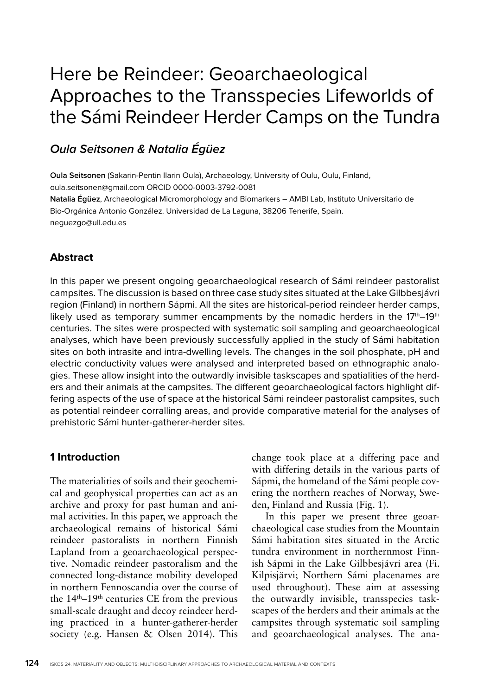# Here be Reindeer: Geoarchaeological Approaches to the Transspecies Lifeworlds of the Sámi Reindeer Herder Camps on the Tundra

# **Oula Seitsonen & Natalia Égüez**

**Oula Seitsonen** (Sakarin-Pentin Ilarin Oula), Archaeology, University of Oulu, Oulu, Finland, oula.seitsonen@gmail.com ORCID 0000-0003-3792-0081 **Natalia Égüez**, Archaeological Micromorphology and Biomarkers – AMBI Lab, Instituto Universitario de Bio-Orgánica Antonio González. Universidad de La Laguna, 38206 Tenerife, Spain. neguezgo@ull.edu.es

# **Abstract**

In this paper we present ongoing geoarchaeological research of Sámi reindeer pastoralist campsites. The discussion is based on three case study sites situated at the Lake Gilbbesjávri region (Finland) in northern Sápmi. All the sites are historical-period reindeer herder camps, likely used as temporary summer encampments by the nomadic herders in the  $17<sup>th</sup>-19<sup>th</sup>$ centuries. The sites were prospected with systematic soil sampling and geoarchaeological analyses, which have been previously successfully applied in the study of Sámi habitation sites on both intrasite and intra-dwelling levels. The changes in the soil phosphate, pH and electric conductivity values were analysed and interpreted based on ethnographic analogies. These allow insight into the outwardly invisible taskscapes and spatialities of the herders and their animals at the campsites. The different geoarchaeological factors highlight differing aspects of the use of space at the historical Sámi reindeer pastoralist campsites, such as potential reindeer corralling areas, and provide comparative material for the analyses of prehistoric Sámi hunter-gatherer-herder sites.

## **1 Introduction**

The materialities of soils and their geochemical and geophysical properties can act as an archive and proxy for past human and animal activities. In this paper, we approach the archaeological remains of historical Sámi reindeer pastoralists in northern Finnish Lapland from a geoarchaeological perspective. Nomadic reindeer pastoralism and the connected long-distance mobility developed in northern Fennoscandia over the course of the 14th–19th centuries CE from the previous small-scale draught and decoy reindeer herding practiced in a hunter-gatherer-herder society (e.g. Hansen & Olsen 2014). This

change took place at a differing pace and with differing details in the various parts of Sápmi, the homeland of the Sámi people covering the northern reaches of Norway, Sweden, Finland and Russia (Fig. 1).

In this paper we present three geoarchaeological case studies from the Mountain Sámi habitation sites situated in the Arctic tundra environment in northernmost Finnish Sápmi in the Lake Gilbbesjávri area (Fi. Kilpisjärvi; Northern Sámi placenames are used throughout). These aim at assessing the outwardly invisible, transspecies taskscapes of the herders and their animals at the campsites through systematic soil sampling and geoarchaeological analyses. The ana-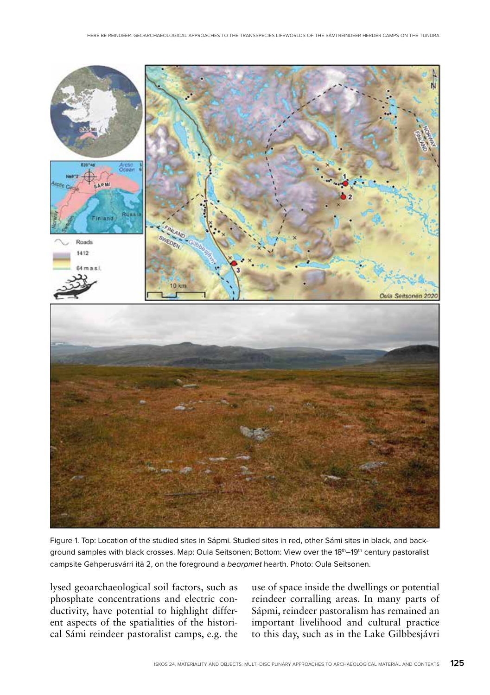

Figure 1. Top: Location of the studied sites in Sápmi. Studied sites in red, other Sámi sites in black, and background samples with black crosses. Map: Oula Seitsonen; Bottom: View over the 18<sup>th</sup>–19<sup>th</sup> century pastoralist campsite Gahperusvárri itä 2, on the foreground a bearpmet hearth. Photo: Oula Seitsonen.

lysed geoarchaeological soil factors, such as phosphate concentrations and electric conductivity, have potential to highlight different aspects of the spatialities of the historical Sámi reindeer pastoralist camps, e.g. the use of space inside the dwellings or potential reindeer corralling areas. In many parts of Sápmi, reindeer pastoralism has remained an important livelihood and cultural practice to this day, such as in the Lake Gilbbesjávri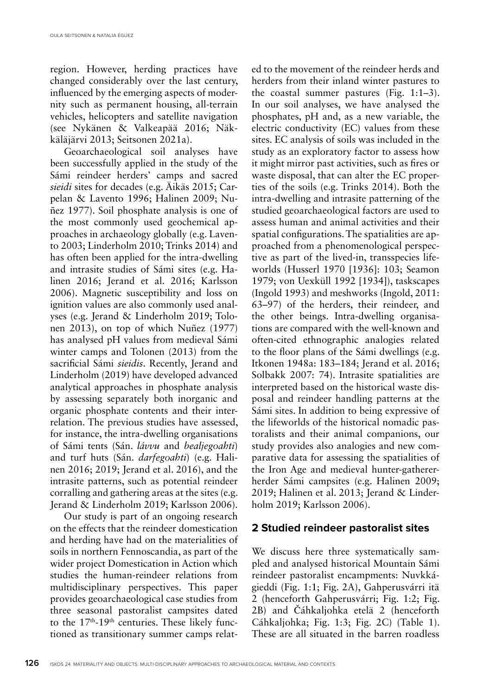region. However, herding practices have changed considerably over the last century, influenced by the emerging aspects of modernity such as permanent housing, all-terrain vehicles, helicopters and satellite navigation (see Nykänen & Valkeapää 2016; Näkkäläjärvi 2013; Seitsonen 2021a).

Geoarchaeological soil analyses have been successfully applied in the study of the Sámi reindeer herders' camps and sacred *sieidi* sites for decades (e.g. Äikäs 2015; Carpelan & Lavento 1996; Halinen 2009; Nuñez 1977). Soil phosphate analysis is one of the most commonly used geochemical approaches in archaeology globally (e.g. Lavento 2003; Linderholm 2010; Trinks 2014) and has often been applied for the intra-dwelling and intrasite studies of Sámi sites (e.g. Halinen 2016; Jerand et al. 2016; Karlsson 2006). Magnetic susceptibility and loss on ignition values are also commonly used analyses (e.g. Jerand & Linderholm 2019; Tolonen 2013), on top of which Nuñez (1977) has analysed pH values from medieval Sámi winter camps and Tolonen (2013) from the sacrificial Sámi *sieidis*. Recently, Jerand and Linderholm (2019) have developed advanced analytical approaches in phosphate analysis by assessing separately both inorganic and organic phosphate contents and their interrelation. The previous studies have assessed, for instance, the intra-dwelling organisations of Sámi tents (Sán. *lávvu* and *bealjegoahti*) and turf huts (Sán. *darfegoahti*) (e.g. Halinen 2016; 2019; Jerand et al. 2016), and the intrasite patterns, such as potential reindeer corralling and gathering areas at the sites (e.g. Jerand & Linderholm 2019; Karlsson 2006).

Our study is part of an ongoing research on the effects that the reindeer domestication and herding have had on the materialities of soils in northern Fennoscandia, as part of the wider project Domestication in Action which studies the human-reindeer relations from multidisciplinary perspectives. This paper provides geoarchaeological case studies from three seasonal pastoralist campsites dated to the 17<sup>th</sup>-19<sup>th</sup> centuries. These likely functioned as transitionary summer camps related to the movement of the reindeer herds and herders from their inland winter pastures to the coastal summer pastures (Fig. 1:1–3). In our soil analyses, we have analysed the phosphates, pH and, as a new variable, the electric conductivity (EC) values from these sites. EC analysis of soils was included in the study as an exploratory factor to assess how it might mirror past activities, such as fires or waste disposal, that can alter the EC properties of the soils (e.g. Trinks 2014). Both the intra-dwelling and intrasite patterning of the studied geoarchaeological factors are used to assess human and animal activities and their spatial configurations. The spatialities are approached from a phenomenological perspective as part of the lived-in, transspecies lifeworlds (Husserl 1970 [1936]: 103; Seamon 1979; von Uexküll 1992 [1934]), taskscapes (Ingold 1993) and meshworks (Ingold, 2011: 63–97) of the herders, their reindeer, and the other beings. Intra-dwelling organisations are compared with the well-known and often-cited ethnographic analogies related to the floor plans of the Sámi dwellings (e.g. Itkonen 1948a: 183–184; Jerand et al. 2016; Solbakk 2007: 74). Intrasite spatialities are interpreted based on the historical waste disposal and reindeer handling patterns at the Sámi sites. In addition to being expressive of the lifeworlds of the historical nomadic pastoralists and their animal companions, our study provides also analogies and new comparative data for assessing the spatialities of the Iron Age and medieval hunter-gathererherder Sámi campsites (e.g. Halinen 2009; 2019; Halinen et al. 2013; Jerand & Linderholm 2019; Karlsson 2006).

#### **2 Studied reindeer pastoralist sites**

We discuss here three systematically sampled and analysed historical Mountain Sámi reindeer pastoralist encampments: Nuvkkágieddi (Fig. 1:1; Fig. 2A), Gahperusvárri itä 2 (henceforth Gahperusvárri; Fig. 1:2; Fig. 2B) and Čáhkaljohka etelä 2 (henceforth Cáhkaljohka; Fig. 1:3; Fig. 2C) (Table 1). These are all situated in the barren roadless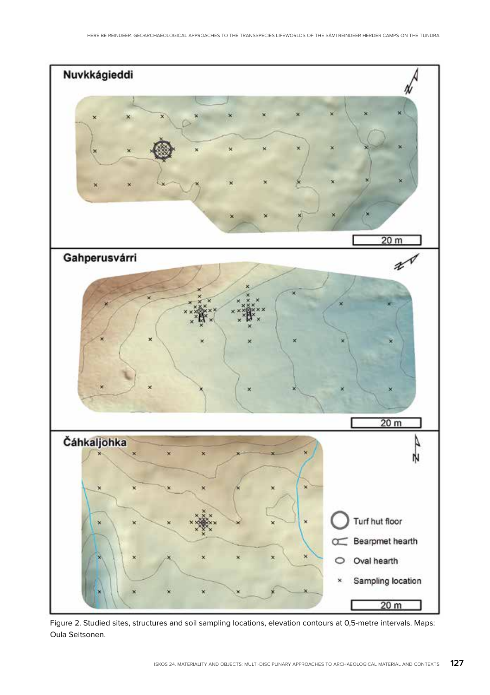

Figure 2. Studied sites, structures and soil sampling locations, elevation contours at 0,5-metre intervals. Maps: Oula Seitsonen.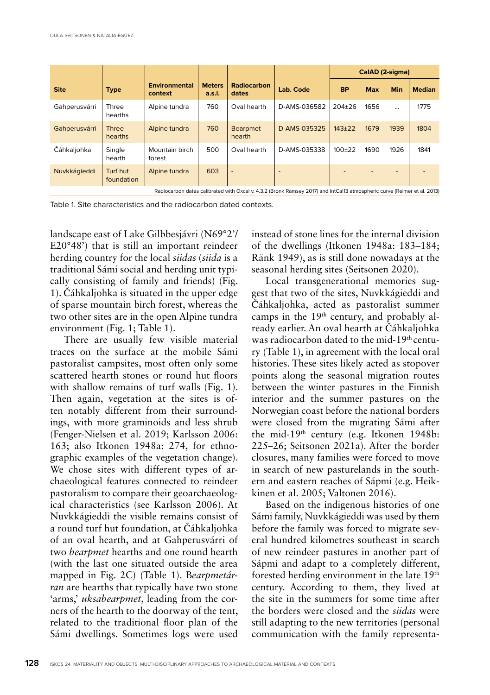|                                                                                                                          |                         |                                 |                         |                           |              | CalAD (2-sigma) |            |          |               |
|--------------------------------------------------------------------------------------------------------------------------|-------------------------|---------------------------------|-------------------------|---------------------------|--------------|-----------------|------------|----------|---------------|
| <b>Site</b>                                                                                                              | <b>Type</b>             | <b>Environmental</b><br>context | <b>Meters</b><br>a.s.l. | Radiocarbon<br>dates      | Lab. Code    | <b>BP</b>       | <b>Max</b> | Min      | <b>Median</b> |
| Gahperusvárri                                                                                                            | <b>Three</b><br>hearths | Alpine tundra                   | 760                     | Oval hearth               | D-AMS-036582 | $204 + 26$      | 1656       | $\cdots$ | 1775          |
| Gahperusvárri                                                                                                            | <b>Three</b><br>hearths | Alpine tundra                   | 760                     | <b>Bearpmet</b><br>hearth | D-AMS-035325 | $143 + 22$      | 1679       | 1939     | 1804          |
| Čáhkaljohka                                                                                                              | Single<br>hearth        | Mountain birch<br>forest        | 500                     | Oval hearth               | D-AMS-035338 | $100+22$        | 1690       | 1926     | 1841          |
| Nuvkkágieddi                                                                                                             | Turf hut<br>foundation  | Alpine tundra                   | 603                     | $\overline{\phantom{a}}$  |              |                 |            |          |               |
| Radiocarbon dates calibrated with Oxcal v. 4.3.2 (Bronk Ramsey 2017) and IntCal13 atmospheric curve (Reimer et al. 2013) |                         |                                 |                         |                           |              |                 |            |          |               |

Table 1. Site characteristics and the radiocarbon dated contexts.

landscape east of Lake Gilbbesjávri (N69°2'/ E20°48') that is still an important reindeer herding country for the local *siidas* (*siida* is a traditional Sámi social and herding unit typically consisting of family and friends) (Fig. 1). Čáhkaljohka is situated in the upper edge of sparse mountain birch forest, whereas the two other sites are in the open Alpine tundra environment (Fig. 1; Table 1).

There are usually few visible material traces on the surface at the mobile Sámi pastoralist campsites, most often only some scattered hearth stones or round hut floors with shallow remains of turf walls (Fig. 1). Then again, vegetation at the sites is often notably different from their surroundings, with more graminoids and less shrub (Fenger-Nielsen et al. 2019; Karlsson 2006: 163; also Itkonen 1948a: 274, for ethnographic examples of the vegetation change). We chose sites with different types of archaeological features connected to reindeer pastoralism to compare their geoarchaeological characteristics (see Karlsson 2006). At Nuvkkágieddi the visible remains consist of a round turf hut foundation, at Čáhkaljohka of an oval hearth, and at Gahperusvárri of two *bearpmet* hearths and one round hearth (with the last one situated outside the area mapped in Fig. 2C) (Table 1). B*earpmetárran* are hearths that typically have two stone 'arms,' *uksabearpmet*, leading from the corners of the hearth to the doorway of the tent, related to the traditional floor plan of the Sámi dwellings. Sometimes logs were used

instead of stone lines for the internal division of the dwellings (Itkonen 1948a: 183–184; Ränk 1949), as is still done nowadays at the seasonal herding sites (Seitsonen 2020).

Local transgenerational memories suggest that two of the sites, Nuvkkágieddi and Čáhkaljohka, acted as pastoralist summer camps in the 19<sup>th</sup> century, and probably already earlier. An oval hearth at Čáhkaljohka was radiocarbon dated to the mid-19<sup>th</sup> century (Table 1), in agreement with the local oral histories. These sites likely acted as stopover points along the seasonal migration routes between the winter pastures in the Finnish interior and the summer pastures on the Norwegian coast before the national borders were closed from the migrating Sámi after the mid-19th century (e.g. Itkonen 1948b: 225–26; Seitsonen 2021a). After the border closures, many families were forced to move in search of new pasturelands in the southern and eastern reaches of Sápmi (e.g. Heikkinen et al. 2005; Valtonen 2016).

Based on the indigenous histories of one Sámi family, Nuvkkágieddi was used by them before the family was forced to migrate several hundred kilometres southeast in search of new reindeer pastures in another part of Sápmi and adapt to a completely different, forested herding environment in the late 19<sup>th</sup> century. According to them, they lived at the site in the summers for some time after the borders were closed and the *siidas* were still adapting to the new territories (personal communication with the family representa-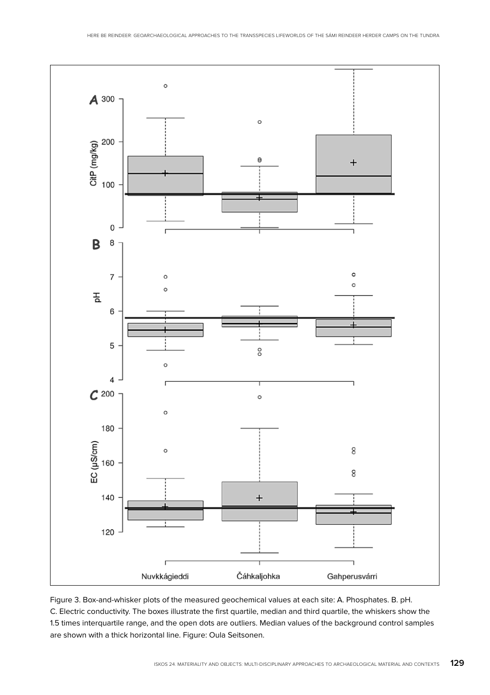

Figure 3. Box-and-whisker plots of the measured geochemical values at each site: A. Phosphates. B. pH. C. Electric conductivity. The boxes illustrate the first quartile, median and third quartile, the whiskers show the 1.5 times interquartile range, and the open dots are outliers. Median values of the background control samples are shown with a thick horizontal line. Figure: Oula Seitsonen.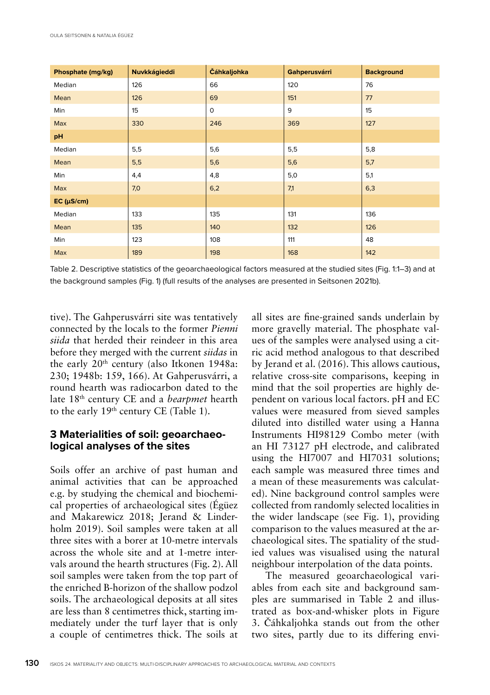| Phosphate (mg/kg) | Nuvkkágieddi | Čáhkaljohka | Gahperusvárri | <b>Background</b> |
|-------------------|--------------|-------------|---------------|-------------------|
| Median            | 126          | 66          | 120           | 76                |
| Mean              | 126          | 69          | 151           | 77                |
| Min               | 15           | $\mathbf 0$ | 9             | 15                |
| Max               | 330          | 246         | 369           | 127               |
| pH                |              |             |               |                   |
| Median            | 5,5          | 5,6         | 5,5           | 5,8               |
| Mean              | 5,5          | 5,6         | 5,6           | 5,7               |
| Min               | 4,4          | 4,8         | 5,0           | 5,1               |
| Max               | 7,0          | 6,2         | 7,1           | 6,3               |
| EC (µS/cm)        |              |             |               |                   |
| Median            | 133          | 135         | 131           | 136               |
| Mean              | 135          | 140         | 132           | 126               |
| Min               | 123          | 108         | 111           | 48                |
| Max               | 189          | 198         | 168           | 142               |

Table 2. Descriptive statistics of the geoarchaeological factors measured at the studied sites (Fig. 1:1–3) and at the background samples (Fig. 1) (full results of the analyses are presented in Seitsonen 2021b).

tive). The Gahperusvárri site was tentatively connected by the locals to the former *Pienni siida* that herded their reindeer in this area before they merged with the current *siidas* in the early  $20<sup>th</sup>$  century (also Itkonen 1948a: 230; 1948b: 159, 166). At Gahperusvárri, a round hearth was radiocarbon dated to the late 18th century CE and a *bearpmet* hearth to the early 19<sup>th</sup> century CE (Table 1).

## **3 Materialities of soil: geoarchaeological analyses of the sites**

Soils offer an archive of past human and animal activities that can be approached e.g. by studying the chemical and biochemical properties of archaeological sites (Égüez and Makarewicz 2018; Jerand & Linderholm 2019). Soil samples were taken at all three sites with a borer at 10-metre intervals across the whole site and at 1-metre intervals around the hearth structures (Fig. 2). All soil samples were taken from the top part of the enriched B-horizon of the shallow podzol soils. The archaeological deposits at all sites are less than 8 centimetres thick, starting immediately under the turf layer that is only a couple of centimetres thick. The soils at all sites are fine-grained sands underlain by more gravelly material. The phosphate values of the samples were analysed using a citric acid method analogous to that described by Jerand et al. (2016). This allows cautious, relative cross-site comparisons, keeping in mind that the soil properties are highly dependent on various local factors. pH and EC values were measured from sieved samples diluted into distilled water using a Hanna Instruments HI98129 Combo meter (with an HI 73127 pH electrode, and calibrated using the HI7007 and HI7031 solutions; each sample was measured three times and a mean of these measurements was calculated). Nine background control samples were collected from randomly selected localities in the wider landscape (see Fig. 1), providing comparison to the values measured at the archaeological sites. The spatiality of the studied values was visualised using the natural neighbour interpolation of the data points.

The measured geoarchaeological variables from each site and background samples are summarised in Table 2 and illustrated as box-and-whisker plots in Figure 3. Čáhkaljohka stands out from the other two sites, partly due to its differing envi-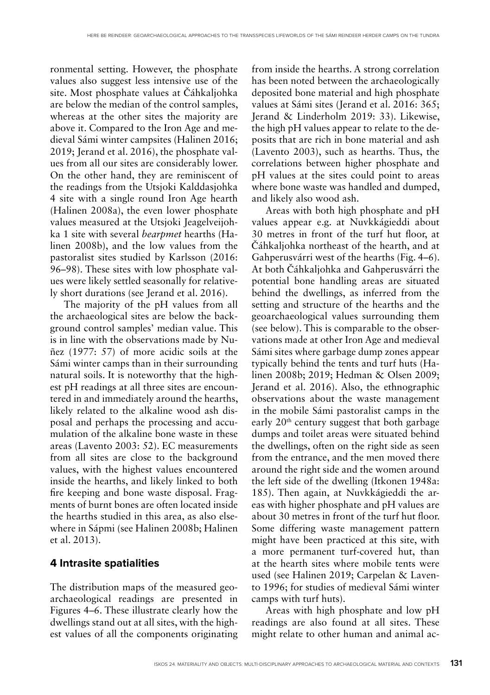ronmental setting. However, the phosphate values also suggest less intensive use of the site. Most phosphate values at Čáhkaljohka are below the median of the control samples, whereas at the other sites the majority are above it. Compared to the Iron Age and medieval Sámi winter campsites (Halinen 2016; 2019; Jerand et al. 2016), the phosphate values from all our sites are considerably lower. On the other hand, they are reminiscent of the readings from the Utsjoki Kalddasjohka 4 site with a single round Iron Age hearth (Halinen 2008a), the even lower phosphate values measured at the Utsjoki Jeagelveijohka 1 site with several *bearpmet* hearths (Halinen 2008b), and the low values from the pastoralist sites studied by Karlsson (2016: 96–98). These sites with low phosphate values were likely settled seasonally for relatively short durations (see Jerand et al. 2016).

The majority of the pH values from all the archaeological sites are below the background control samples' median value. This is in line with the observations made by Nuñez (1977: 57) of more acidic soils at the Sámi winter camps than in their surrounding natural soils. It is noteworthy that the highest pH readings at all three sites are encountered in and immediately around the hearths, likely related to the alkaline wood ash disposal and perhaps the processing and accumulation of the alkaline bone waste in these areas (Lavento 2003: 52). EC measurements from all sites are close to the background values, with the highest values encountered inside the hearths, and likely linked to both fire keeping and bone waste disposal. Fragments of burnt bones are often located inside the hearths studied in this area, as also elsewhere in Sápmi (see Halinen 2008b; Halinen et al. 2013).

## **4 Intrasite spatialities**

The distribution maps of the measured geoarchaeological readings are presented in Figures 4–6. These illustrate clearly how the dwellings stand out at all sites, with the highest values of all the components originating

from inside the hearths. A strong correlation has been noted between the archaeologically deposited bone material and high phosphate values at Sámi sites (Jerand et al. 2016: 365; Jerand & Linderholm 2019: 33). Likewise, the high pH values appear to relate to the deposits that are rich in bone material and ash (Lavento 2003), such as hearths. Thus, the correlations between higher phosphate and pH values at the sites could point to areas where bone waste was handled and dumped, and likely also wood ash.

Areas with both high phosphate and pH values appear e.g. at Nuvkkágieddi about 30 metres in front of the turf hut floor, at Čáhkaljohka northeast of the hearth, and at Gahperusvárri west of the hearths (Fig. 4–6). At both Čáhkaljohka and Gahperusvárri the potential bone handling areas are situated behind the dwellings, as inferred from the setting and structure of the hearths and the geoarchaeological values surrounding them (see below). This is comparable to the observations made at other Iron Age and medieval Sámi sites where garbage dump zones appear typically behind the tents and turf huts (Halinen 2008b; 2019; Hedman & Olsen 2009; Jerand et al. 2016). Also, the ethnographic observations about the waste management in the mobile Sámi pastoralist camps in the early 20<sup>th</sup> century suggest that both garbage dumps and toilet areas were situated behind the dwellings, often on the right side as seen from the entrance, and the men moved there around the right side and the women around the left side of the dwelling (Itkonen 1948a: 185). Then again, at Nuvkkágieddi the areas with higher phosphate and pH values are about 30 metres in front of the turf hut floor. Some differing waste management pattern might have been practiced at this site, with a more permanent turf-covered hut, than at the hearth sites where mobile tents were used (see Halinen 2019; Carpelan & Lavento 1996; for studies of medieval Sámi winter camps with turf huts).

Areas with high phosphate and low pH readings are also found at all sites. These might relate to other human and animal ac-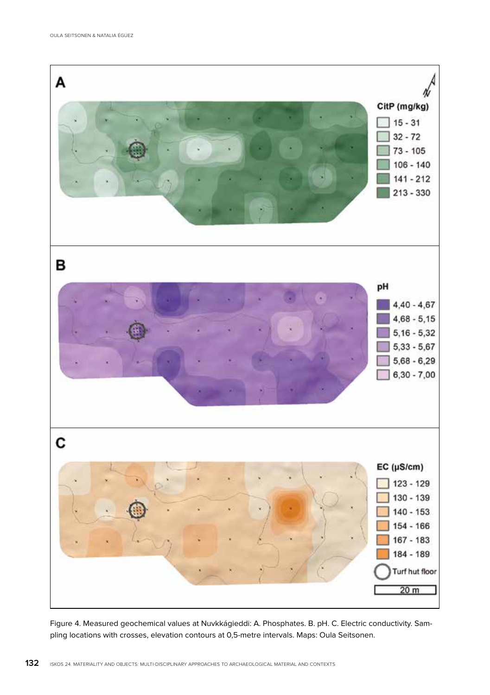

Figure 4. Measured geochemical values at Nuvkkágieddi: A. Phosphates. B. pH. C. Electric conductivity. Sampling locations with crosses, elevation contours at 0,5-metre intervals. Maps: Oula Seitsonen.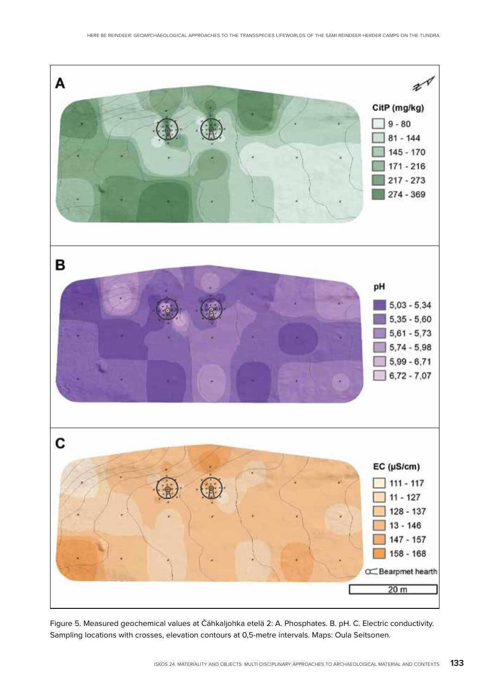

Figure 5. Measured geochemical values at Čáhkaljohka etelä 2: A. Phosphates. B. pH. C. Electric conductivity. Sampling locations with crosses, elevation contours at 0,5-metre intervals. Maps: Oula Seitsonen.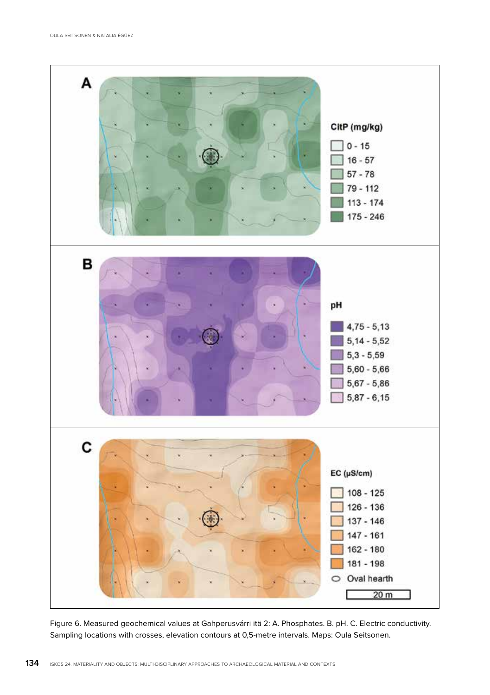

Figure 6. Measured geochemical values at Gahperusvárri itä 2: A. Phosphates. B. pH. C. Electric conductivity. Sampling locations with crosses, elevation contours at 0,5-metre intervals. Maps: Oula Seitsonen.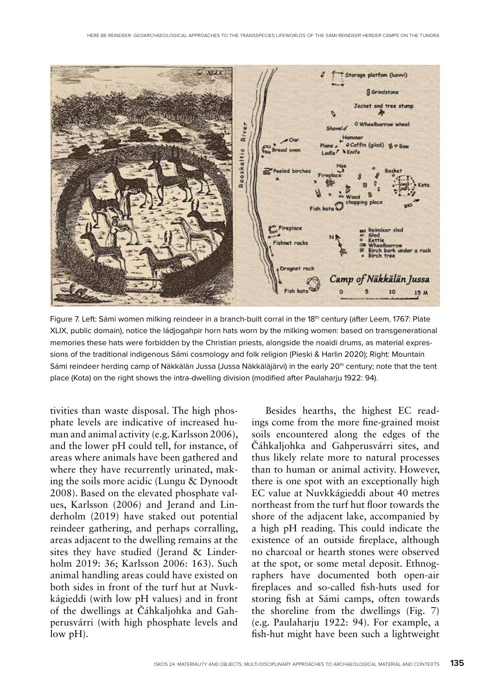

Figure 7. Left: Sámi women milking reindeer in a branch-built corral in the 18<sup>th</sup> century (after Leem, 1767: Plate XLIX, public domain), notice the ládjogahpir horn hats worn by the milking women: based on transgenerational memories these hats were forbidden by the Christian priests, alongside the noaidi drums, as material expressions of the traditional indigenous Sámi cosmology and folk religion (Pieski & Harlin 2020); Right: Mountain Sámi reindeer herding camp of Näkkälän Jussa (Jussa Näkkäläjärvi) in the early 20<sup>th</sup> century; note that the tent place (Kota) on the right shows the intra-dwelling division (modified after Paulaharju 1922: 94).

tivities than waste disposal. The high phosphate levels are indicative of increased human and animal activity (e.g. Karlsson 2006), and the lower pH could tell, for instance, of areas where animals have been gathered and where they have recurrently urinated, making the soils more acidic (Lungu & Dynoodt 2008). Based on the elevated phosphate values, Karlsson (2006) and Jerand and Linderholm (2019) have staked out potential reindeer gathering, and perhaps corralling, areas adjacent to the dwelling remains at the sites they have studied (Jerand & Linderholm 2019: 36; Karlsson 2006: 163). Such animal handling areas could have existed on both sides in front of the turf hut at Nuvkkágieddi (with low pH values) and in front of the dwellings at Čáhkaljohka and Gahperusvárri (with high phosphate levels and low pH).

Besides hearths, the highest EC readings come from the more fine-grained moist soils encountered along the edges of the Čáhkaljohka and Gahperusvárri sites, and thus likely relate more to natural processes than to human or animal activity. However, there is one spot with an exceptionally high EC value at Nuvkkágieddi about 40 metres northeast from the turf hut floor towards the shore of the adjacent lake, accompanied by a high pH reading. This could indicate the existence of an outside fireplace, although no charcoal or hearth stones were observed at the spot, or some metal deposit. Ethnographers have documented both open-air fireplaces and so-called fish-huts used for storing fish at Sámi camps, often towards the shoreline from the dwellings (Fig. 7) (e.g. Paulaharju 1922: 94). For example, a fish-hut might have been such a lightweight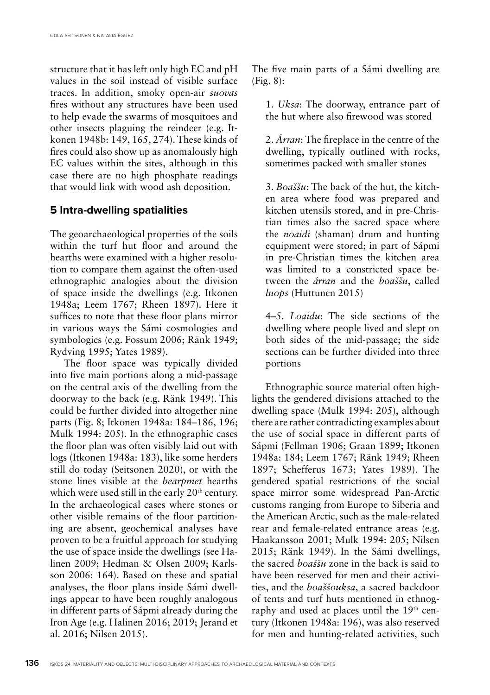structure that it has left only high EC and pH values in the soil instead of visible surface traces. In addition, smoky open-air *suovas* fires without any structures have been used to help evade the swarms of mosquitoes and other insects plaguing the reindeer (e.g. Itkonen 1948b: 149, 165, 274). These kinds of fires could also show up as anomalously high EC values within the sites, although in this case there are no high phosphate readings that would link with wood ash deposition.

## **5 Intra-dwelling spatialities**

The geoarchaeological properties of the soils within the turf hut floor and around the hearths were examined with a higher resolution to compare them against the often-used ethnographic analogies about the division of space inside the dwellings (e.g. Itkonen 1948a; Leem 1767; Rheen 1897). Here it suffices to note that these floor plans mirror in various ways the Sámi cosmologies and symbologies (e.g. Fossum 2006; Ränk 1949; Rydving 1995; Yates 1989).

The floor space was typically divided into five main portions along a mid-passage on the central axis of the dwelling from the doorway to the back (e.g. Ränk 1949). This could be further divided into altogether nine parts (Fig. 8; Itkonen 1948a: 184–186, 196; Mulk 1994: 205). In the ethnographic cases the floor plan was often visibly laid out with logs (Itkonen 1948a: 183), like some herders still do today (Seitsonen 2020), or with the stone lines visible at the *bearpmet* hearths which were used still in the early 20<sup>th</sup> century. In the archaeological cases where stones or other visible remains of the floor partitioning are absent, geochemical analyses have proven to be a fruitful approach for studying the use of space inside the dwellings (see Halinen 2009; Hedman & Olsen 2009; Karlsson 2006: 164). Based on these and spatial analyses, the floor plans inside Sámi dwellings appear to have been roughly analogous in different parts of Sápmi already during the Iron Age (e.g. Halinen 2016; 2019; Jerand et al. 2016; Nilsen 2015).

The five main parts of a Sámi dwelling are (Fig. 8):

1. *Uksa*: The doorway, entrance part of the hut where also firewood was stored

2. *Árran*: The fireplace in the centre of the dwelling, typically outlined with rocks, sometimes packed with smaller stones

3. *Boaššu*: The back of the hut, the kitchen area where food was prepared and kitchen utensils stored, and in pre-Christian times also the sacred space where the *noaidi* (shaman) drum and hunting equipment were stored; in part of Sápmi in pre-Christian times the kitchen area was limited to a constricted space between the *árran* and the *boaššu*, called *luops* (Huttunen 2015)

4–5. *Loaidu*: The side sections of the dwelling where people lived and slept on both sides of the mid-passage; the side sections can be further divided into three portions

Ethnographic source material often highlights the gendered divisions attached to the dwelling space (Mulk 1994: 205), although there are rather contradicting examples about the use of social space in different parts of Sápmi (Fellman 1906; Graan 1899; Itkonen 1948a: 184; Leem 1767; Ränk 1949; Rheen 1897; Schefferus 1673; Yates 1989). The gendered spatial restrictions of the social space mirror some widespread Pan-Arctic customs ranging from Europe to Siberia and the American Arctic, such as the male-related rear and female-related entrance areas (e.g. Haakansson 2001; Mulk 1994: 205; Nilsen 2015; Ränk 1949). In the Sámi dwellings, the sacred *boaššu* zone in the back is said to have been reserved for men and their activities, and the *boaššouksa*, a sacred backdoor of tents and turf huts mentioned in ethnography and used at places until the 19<sup>th</sup> century (Itkonen 1948a: 196), was also reserved for men and hunting-related activities, such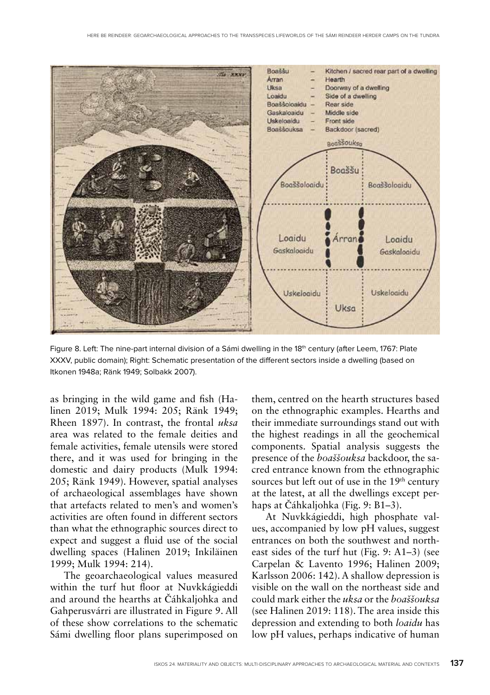

Figure 8. Left: The nine-part internal division of a Sámi dwelling in the 18th century (after Leem, 1767: Plate XXXV, public domain); Right: Schematic presentation of the different sectors inside a dwelling (based on Itkonen 1948a; Ränk 1949; Solbakk 2007).

as bringing in the wild game and fish (Halinen 2019; Mulk 1994: 205; Ränk 1949; Rheen 1897). In contrast, the frontal *uksa* area was related to the female deities and female activities, female utensils were stored there, and it was used for bringing in the domestic and dairy products (Mulk 1994: 205; Ränk 1949). However, spatial analyses of archaeological assemblages have shown that artefacts related to men's and women's activities are often found in different sectors than what the ethnographic sources direct to expect and suggest a fluid use of the social dwelling spaces (Halinen 2019; Inkiläinen 1999; Mulk 1994: 214).

The geoarchaeological values measured within the turf hut floor at Nuvkkágieddi and around the hearths at Čáhkaljohka and Gahperusvárri are illustrated in Figure 9. All of these show correlations to the schematic Sámi dwelling floor plans superimposed on

them, centred on the hearth structures based on the ethnographic examples. Hearths and their immediate surroundings stand out with the highest readings in all the geochemical components. Spatial analysis suggests the presence of the *boaššouksa* backdoor, the sacred entrance known from the ethnographic sources but left out of use in the 19<sup>th</sup> century at the latest, at all the dwellings except perhaps at Čáhkaljohka (Fig. 9: B1–3).

At Nuvkkágieddi, high phosphate values, accompanied by low pH values, suggest entrances on both the southwest and northeast sides of the turf hut (Fig. 9: A1–3) (see Carpelan & Lavento 1996; Halinen 2009; Karlsson 2006: 142). A shallow depression is visible on the wall on the northeast side and could mark either the *uksa* or the *boaššouksa* (see Halinen 2019: 118). The area inside this depression and extending to both *loaidu* has low pH values, perhaps indicative of human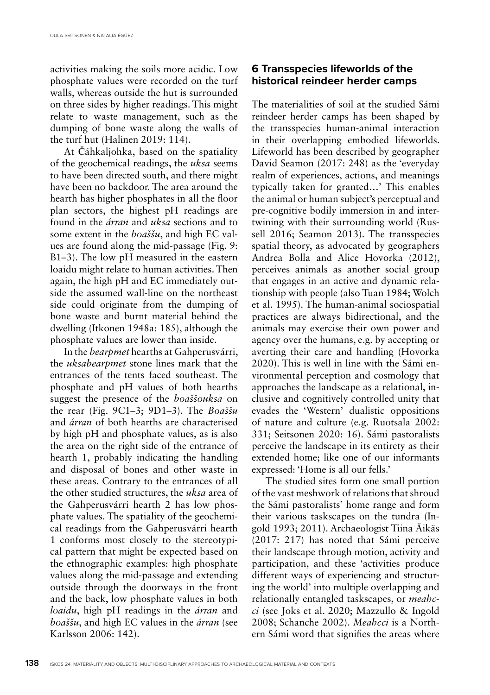activities making the soils more acidic. Low phosphate values were recorded on the turf walls, whereas outside the hut is surrounded on three sides by higher readings. This might relate to waste management, such as the dumping of bone waste along the walls of the turf hut (Halinen 2019: 114).

At Čáhkaljohka, based on the spatiality of the geochemical readings, the *uksa* seems to have been directed south, and there might have been no backdoor. The area around the hearth has higher phosphates in all the floor plan sectors, the highest pH readings are found in the *árran* and *uksa* sections and to some extent in the *boaššu*, and high EC values are found along the mid-passage (Fig. 9: B1–3). The low pH measured in the eastern loaidu might relate to human activities. Then again, the high pH and EC immediately outside the assumed wall-line on the northeast side could originate from the dumping of bone waste and burnt material behind the dwelling (Itkonen 1948a: 185), although the phosphate values are lower than inside.

In the *bearpmet* hearths at Gahperusvárri, the *uksabearpmet* stone lines mark that the entrances of the tents faced southeast. The phosphate and pH values of both hearths suggest the presence of the *boaššouksa* on the rear (Fig. 9C1–3; 9D1–3). The *Boaššu* and *árran* of both hearths are characterised by high pH and phosphate values, as is also the area on the right side of the entrance of hearth 1, probably indicating the handling and disposal of bones and other waste in these areas. Contrary to the entrances of all the other studied structures, the *uksa* area of the Gahperusvárri hearth 2 has low phosphate values. The spatiality of the geochemical readings from the Gahperusvárri hearth 1 conforms most closely to the stereotypical pattern that might be expected based on the ethnographic examples: high phosphate values along the mid-passage and extending outside through the doorways in the front and the back, low phosphate values in both *loaidu*, high pH readings in the *árran* and *boaššu*, and high EC values in the *árran* (see Karlsson 2006: 142).

## **6 Transspecies lifeworlds of the historical reindeer herder camps**

The materialities of soil at the studied Sámi reindeer herder camps has been shaped by the transspecies human-animal interaction in their overlapping embodied lifeworlds. Lifeworld has been described by geographer David Seamon (2017: 248) as the 'everyday realm of experiences, actions, and meanings typically taken for granted…' This enables the animal or human subject's perceptual and pre-cognitive bodily immersion in and intertwining with their surrounding world (Russell 2016; Seamon 2013). The transspecies spatial theory, as advocated by geographers Andrea Bolla and Alice Hovorka (2012), perceives animals as another social group that engages in an active and dynamic relationship with people (also Tuan 1984; Wolch et al. 1995). The human-animal sociospatial practices are always bidirectional, and the animals may exercise their own power and agency over the humans, e.g. by accepting or averting their care and handling (Hovorka 2020). This is well in line with the Sámi environmental perception and cosmology that approaches the landscape as a relational, inclusive and cognitively controlled unity that evades the 'Western' dualistic oppositions of nature and culture (e.g. Ruotsala 2002: 331; Seitsonen 2020: 16). Sámi pastoralists perceive the landscape in its entirety as their extended home; like one of our informants expressed: 'Home is all our fells.'

The studied sites form one small portion of the vast meshwork of relations that shroud the Sámi pastoralists' home range and form their various taskscapes on the tundra (Ingold 1993; 2011). Archaeologist Tiina Äikäs (2017: 217) has noted that Sámi perceive their landscape through motion, activity and participation, and these 'activities produce different ways of experiencing and structuring the world' into multiple overlapping and relationally entangled taskscapes, or *meahcci* (see Joks et al. 2020; Mazzullo & Ingold 2008; Schanche 2002). *Meahcci* is a Northern Sámi word that signifies the areas where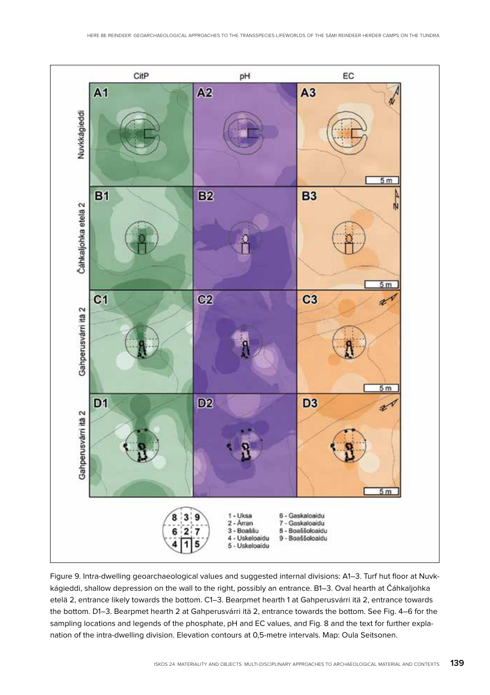

Figure 9. Intra-dwelling geoarchaeological values and suggested internal divisions: A1–3. Turf hut floor at Nuvkkágieddi, shallow depression on the wall to the right, possibly an entrance. B1–3. Oval hearth at Čáhkaljohka etelä 2, entrance likely towards the bottom. C1–3. Bearpmet hearth 1 at Gahperusvárri itä 2, entrance towards the bottom. D1–3. Bearpmet hearth 2 at Gahperusvárri itä 2, entrance towards the bottom. See Fig. 4–6 for the sampling locations and legends of the phosphate, pH and EC values, and Fig. 8 and the text for further explanation of the intra-dwelling division. Elevation contours at 0,5-metre intervals. Map: Oula Seitsonen.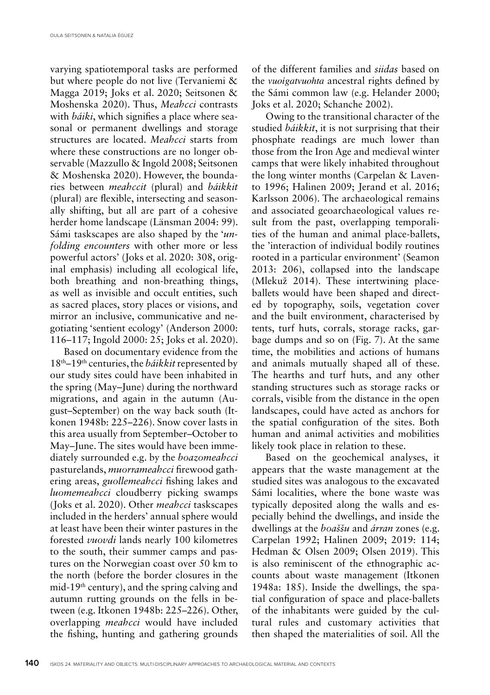varying spatiotemporal tasks are performed but where people do not live (Tervaniemi & Magga 2019; Joks et al. 2020; Seitsonen & Moshenska 2020). Thus, *Meahcci* contrasts with *báiki*, which signifies a place where seasonal or permanent dwellings and storage structures are located. *Meahcci* starts from where these constructions are no longer observable (Mazzullo & Ingold 2008; Seitsonen & Moshenska 2020). However, the boundaries between *meahccit* (plural) and *báikkit* (plural) are flexible, intersecting and seasonally shifting, but all are part of a cohesive herder home landscape (Länsman 2004: 99). Sámi taskscapes are also shaped by the '*unfolding encounters* with other more or less powerful actors' (Joks et al. 2020: 308, original emphasis) including all ecological life, both breathing and non-breathing things, as well as invisible and occult entities, such as sacred places, story places or visions, and mirror an inclusive, communicative and negotiating 'sentient ecology' (Anderson 2000: 116–117; Ingold 2000: 25; Joks et al. 2020).

Based on documentary evidence from the 18th–19th centuries, the *báikkit* represented by our study sites could have been inhabited in the spring (May–June) during the northward migrations, and again in the autumn (August–September) on the way back south (Itkonen 1948b: 225–226). Snow cover lasts in this area usually from September–October to May–June. The sites would have been immediately surrounded e.g. by the *boazomeahcci* pasturelands, *muorrameahcci* firewood gathering areas, *guollemeahcci* fishing lakes and *luomemeahcci* cloudberry picking swamps (Joks et al. 2020). Other *meahcci* taskscapes included in the herders' annual sphere would at least have been their winter pastures in the forested *vuovdi* lands nearly 100 kilometres to the south, their summer camps and pastures on the Norwegian coast over 50 km to the north (before the border closures in the mid-19th century), and the spring calving and autumn rutting grounds on the fells in between (e.g. Itkonen 1948b: 225–226). Other, overlapping *meahcci* would have included the fishing, hunting and gathering grounds

of the different families and *siidas* based on the *vuoigatvuohta* ancestral rights defined by the Sámi common law (e.g. Helander 2000; Joks et al. 2020; Schanche 2002).

Owing to the transitional character of the studied *báikkit*, it is not surprising that their phosphate readings are much lower than those from the Iron Age and medieval winter camps that were likely inhabited throughout the long winter months (Carpelan & Lavento 1996; Halinen 2009; Jerand et al. 2016; Karlsson 2006). The archaeological remains and associated geoarchaeological values result from the past, overlapping temporalities of the human and animal place-ballets, the 'interaction of individual bodily routines rooted in a particular environment' (Seamon 2013: 206), collapsed into the landscape (Mlekuž 2014). These intertwining placeballets would have been shaped and directed by topography, soils, vegetation cover and the built environment, characterised by tents, turf huts, corrals, storage racks, garbage dumps and so on (Fig. 7). At the same time, the mobilities and actions of humans and animals mutually shaped all of these. The hearths and turf huts, and any other standing structures such as storage racks or corrals, visible from the distance in the open landscapes, could have acted as anchors for the spatial configuration of the sites. Both human and animal activities and mobilities likely took place in relation to these.

Based on the geochemical analyses, it appears that the waste management at the studied sites was analogous to the excavated Sámi localities, where the bone waste was typically deposited along the walls and especially behind the dwellings, and inside the dwellings at the *boaššu* and *árran* zones (e.g. Carpelan 1992; Halinen 2009; 2019: 114; Hedman & Olsen 2009; Olsen 2019). This is also reminiscent of the ethnographic accounts about waste management (Itkonen 1948a: 185). Inside the dwellings, the spatial configuration of space and place-ballets of the inhabitants were guided by the cultural rules and customary activities that then shaped the materialities of soil. All the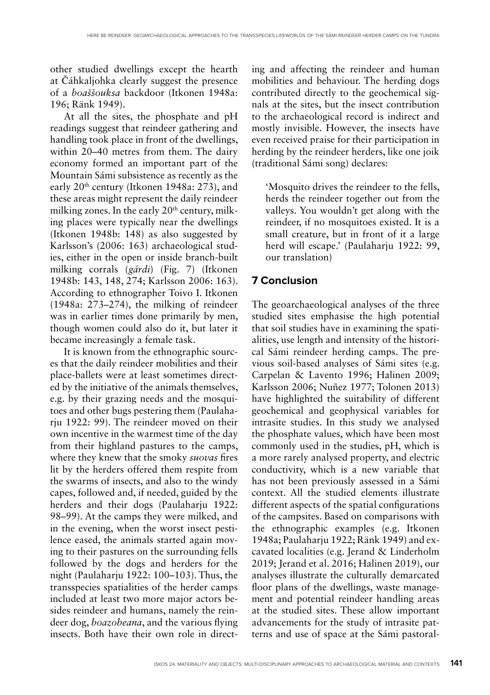other studied dwellings except the hearth at Čáhkaljohka clearly suggest the presence of a *boaššouksa* backdoor (Itkonen 1948a: 196; Ränk 1949).

At all the sites, the phosphate and pH readings suggest that reindeer gathering and handling took place in front of the dwellings, within 20–40 metres from them. The dairy economy formed an important part of the Mountain Sámi subsistence as recently as the early 20th century (Itkonen 1948a: 273), and these areas might represent the daily reindeer milking zones. In the early  $20<sup>th</sup>$  century, milking places were typically near the dwellings (Itkonen 1948b: 148) as also suggested by Karlsson's (2006: 163) archaeological studies, either in the open or inside branch-built milking corrals (*gárdi*) (Fig. 7) (Itkonen 1948b: 143, 148, 274; Karlsson 2006: 163). According to ethnographer Toivo I. Itkonen (1948a: 273–274), the milking of reindeer was in earlier times done primarily by men, though women could also do it, but later it became increasingly a female task.

It is known from the ethnographic sources that the daily reindeer mobilities and their place-ballets were at least sometimes directed by the initiative of the animals themselves, e.g. by their grazing needs and the mosquitoes and other bugs pestering them (Paulaharju 1922: 99). The reindeer moved on their own incentive in the warmest time of the day from their highland pastures to the camps, where they knew that the smoky *suovas* fires lit by the herders offered them respite from the swarms of insects, and also to the windy capes, followed and, if needed, guided by the herders and their dogs (Paulaharju 1922: 98–99). At the camps they were milked, and in the evening, when the worst insect pestilence eased, the animals started again moving to their pastures on the surrounding fells followed by the dogs and herders for the night (Paulaharju 1922: 100–103). Thus, the transspecies spatialities of the herder camps included at least two more major actors besides reindeer and humans, namely the reindeer dog, *boazobeana*, and the various flying insects. Both have their own role in directing and affecting the reindeer and human mobilities and behaviour. The herding dogs contributed directly to the geochemical signals at the sites, but the insect contribution to the archaeological record is indirect and mostly invisible. However, the insects have even received praise for their participation in herding by the reindeer herders, like one joik (traditional Sámi song) declares:

'Mosquito drives the reindeer to the fells, herds the reindeer together out from the valleys. You wouldn't get along with the reindeer, if no mosquitoes existed. It is a small creature, but in front of it a large herd will escape.' (Paulaharju 1922: 99, our translation)

#### **7 Conclusion**

The geoarchaeological analyses of the three studied sites emphasise the high potential that soil studies have in examining the spatialities, use length and intensity of the historical Sámi reindeer herding camps. The previous soil-based analyses of Sámi sites (e.g. Carpelan & Lavento 1996; Halinen 2009; Karlsson 2006; Nuñez 1977; Tolonen 2013) have highlighted the suitability of different geochemical and geophysical variables for intrasite studies. In this study we analysed the phosphate values, which have been most commonly used in the studies, pH, which is a more rarely analysed property, and electric conductivity, which is a new variable that has not been previously assessed in a Sámi context. All the studied elements illustrate different aspects of the spatial configurations of the campsites. Based on comparisons with the ethnographic examples (e.g. Itkonen 1948a; Paulaharju 1922; Ränk 1949) and excavated localities (e.g. Jerand & Linderholm 2019; Jerand et al. 2016; Halinen 2019), our analyses illustrate the culturally demarcated floor plans of the dwellings, waste management and potential reindeer handling areas at the studied sites. These allow important advancements for the study of intrasite patterns and use of space at the Sámi pastoral-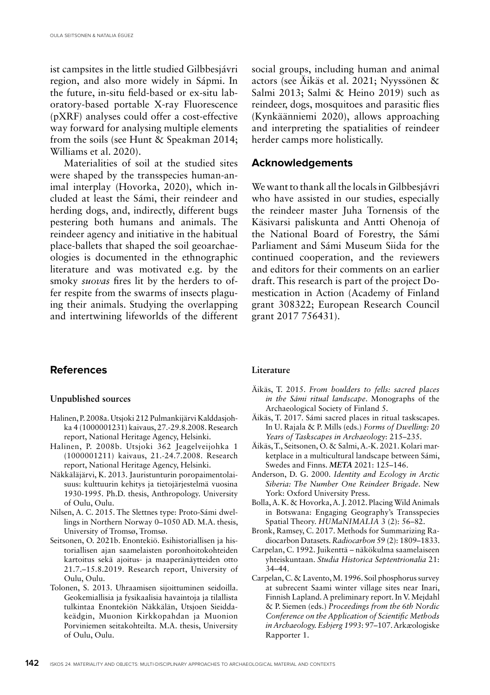ist campsites in the little studied Gilbbesjávri region, and also more widely in Sápmi. In the future, in-situ field-based or ex-situ laboratory-based portable X-ray Fluorescence (pXRF) analyses could offer a cost-effective way forward for analysing multiple elements from the soils (see Hunt & Speakman 2014; Williams et al. 2020).

Materialities of soil at the studied sites were shaped by the transspecies human-animal interplay (Hovorka, 2020), which included at least the Sámi, their reindeer and herding dogs, and, indirectly, different bugs pestering both humans and animals. The reindeer agency and initiative in the habitual place-ballets that shaped the soil geoarchaeologies is documented in the ethnographic literature and was motivated e.g. by the smoky *suovas* fires lit by the herders to offer respite from the swarms of insects plaguing their animals. Studying the overlapping and intertwining lifeworlds of the different

#### **References**

#### **Unpublished sources**

- Halinen, P. 2008a. Utsjoki 212 Pulmankijärvi Kalddasjohka 4 (1000001231) kaivaus, 27.-29.8.2008. Research report, National Heritage Agency, Helsinki.
- Halinen, P. 2008b. Utsjoki 362 Jeagelveijohka 1 (1000001211) kaivaus, 21.-24.7.2008. Research report, National Heritage Agency, Helsinki.
- Näkkäläjärvi, K. 2013. Jauristunturin poropaimentolaisuus: kulttuurin kehitys ja tietojärjestelmä vuosina 1930-1995. Ph.D. thesis, Anthropology. University of Oulu, Oulu.
- Nilsen, A. C. 2015. The Slettnes type: Proto-Sámi dwellings in Northern Norway 0–1050 AD. M.A. thesis, University of Tromsø, Tromsø.
- Seitsonen, O. 2021b. Enontekiö. Esihistoriallisen ja historiallisen ajan saamelaisten poronhoitokohteiden kartoitus sekä ajoitus- ja maaperänäytteiden otto 21.7.–15.8.2019. Research report, University of Oulu, Oulu.
- Tolonen, S. 2013. Uhraamisen sijoittuminen seidoilla. Geokemiallisia ja fysikaalisia havaintoja ja tilallista tulkintaa Enontekiön Näkkälän, Utsjoen Sieiddakeädgin, Muonion Kirkkopahdan ja Muonion Porviniemen seitakohteilta. M.A. thesis, University of Oulu, Oulu.

social groups, including human and animal actors (see Äikäs et al. 2021; Nyyssönen & Salmi 2013; Salmi & Heino 2019) such as reindeer, dogs, mosquitoes and parasitic flies (Kynkäänniemi 2020), allows approaching and interpreting the spatialities of reindeer herder camps more holistically.

#### **Acknowledgements**

We want to thank all the locals in Gilbbesjávri who have assisted in our studies, especially the reindeer master Juha Tornensis of the Käsivarsi paliskunta and Antti Ohenoja of the National Board of Forestry, the Sámi Parliament and Sámi Museum Siida for the continued cooperation, and the reviewers and editors for their comments on an earlier draft. This research is part of the project Domestication in Action (Academy of Finland grant 308322; European Research Council grant 2017 756431).

#### **Literature**

- Äikäs, T. 2015. *From boulders to fells: sacred places in the Sámi ritual landscape*. Monographs of the Archaeological Society of Finland 5.
- Äikäs, T. 2017. Sámi sacred places in ritual taskscapes. In U. Rajala & P. Mills (eds.) *Forms of Dwelling: 20 Years of Taskscapes in Archaeology*: 215–235.
- Äikäs, T., Seitsonen, O. & Salmi, A.-K. 2021. Kolari marketplace in a multicultural landscape between Sámi, Swedes and Finns. *META* 2021: 125–146.
- Anderson, D. G. 2000. *Identity and Ecology in Arctic Siberia: The Number One Reindeer Brigade*. New York: Oxford University Press.
- Bolla, A. K. & Hovorka, A. J. 2012. Placing Wild Animals in Botswana: Engaging Geography's Transspecies Spatial Theory. *HUMaNIMALIA* 3 (2): 56–82.
- Bronk, Ramsey, C. 2017. Methods for Summarizing Radiocarbon Datasets. *Radiocarbon* 59 (2): 1809–1833.
- Carpelan, C. 1992. Juikenttä näkökulma saamelaiseen yhteiskuntaan. *Studia Historica Septentrionalia* 21: 34–44.
- Carpelan, C. & Lavento, M. 1996. Soil phosphorus survey at subrecent Saami winter village sites near Inari, Finnish Lapland. A preliminary report. In V. Mejdahl & P. Siemen (eds.) *Proceedings from the 6th Nordic Conference on the Application of Scientific Methods in Archaeology. Esbjerg 1993*: 97–107. Arkæologiske Rapporter 1.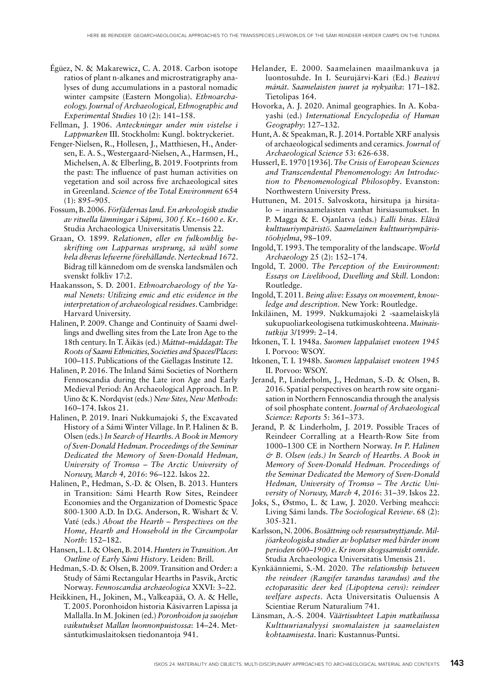- Égüez, N. & Makarewicz, C. A. 2018. Carbon isotope ratios of plant n-alkanes and microstratigraphy analyses of dung accumulations in a pastoral nomadic winter campsite (Eastern Mongolia). *Ethnoarchaeology. Journal of Archaeological, Ethnographic and Experimental Studies* 10 (2): 141–158.
- Fellman, J. 1906. *Anteckningar under min vistelse i Lappmarken* III. Stockholm: Kungl. boktryckeriet.
- Fenger-Nielsen, R., Hollesen, J., Matthiesen, H., Andersen, E. A. S., Westergaard-Nielsen, A., Harmsen, H., Michelsen, A. & Elberling, B. 2019. Footprints from the past: The influence of past human activities on vegetation and soil across five archaeological sites in Greenland. *Science of the Total Environment* 654 (1): 895–905.
- Fossum, B. 2006. *Förfädernas land. En arkeologisk studie av rituella lämningar i Sápmi, 300 f. Kr.–1600 e. Kr*. Studia Archaeologica Universitatis Umensis 22.
- Graan, O. 1899. *Relationen, eller en fulkomblig beskrifting om Lapparnas ursprung, så wähl some hela dheras lefwerne förehållande. Nertecknad 1672*. Bidrag till kännedom om de svenska landsmålen och svenskt folkliv 17:2.
- Haakansson, S. D. 2001. *Ethnoarchaeology of the Yamal Nenets: Utilizing emic and etic evidence in the interpretation of archaeological residues*. Cambridge: Harvard University.
- Halinen, P. 2009. Change and Continuity of Saami dwellings and dwelling sites from the Late Iron Age to the 18th century. In T. Äikäs (ed.) *Máttut–máddagat: The Roots of Saami Ethnicities, Societies and Spaces/Places*: 100–115. Publications of the Giellagas Institute 12.
- Halinen, P. 2016. The Inland Sámi Societies of Northern Fennoscandia during the Late iron Age and Early Medieval Period: An Archaeological Approach. In P. Uino & K. Nordqvist (eds.) *New Sites, New Methods*: 160–174. Iskos 21.
- Halinen, P. 2019. Inari Nukkumajoki 5, the Excavated History of a Sámi Winter Village. In P. Halinen & B. Olsen (eds.) *In Search of Hearths. A Book in Memory of Sven-Donald Hedman. Proceedings of the Seminar Dedicated the Memory of Sven-Donald Hedman, University of Tromsø – The Arctic University of Norway, March 4, 2016*: 96–122. Iskos 22.
- Halinen, P., Hedman, S.-D. & Olsen, B. 2013. Hunters in Transition: Sámi Hearth Row Sites, Reindeer Economies and the Organization of Domestic Space 800-1300 A.D. In D.G. Anderson, R. Wishart & V. Vaté (eds.) *About the Hearth – Perspectives on the Home, Hearth and Household in the Circumpolar North*: 152–182.
- Hansen, L. I. & Olsen, B. 2014. *Hunters in Transition. An Outline of Early Sámi History*. Leiden: Brill.
- Hedman, S.-D. & Olsen, B. 2009. Transition and Order: a Study of Sámi Rectangular Hearths in Pasvik, Arctic Norway. *Fennoscandia archaeologica* XXVI: 3–22.
- Heikkinen, H., Jokinen, M., Valkeapää, O. A. & Helle, T. 2005. Poronhoidon historia Käsivarren Lapissa ja Mallalla. In M. Jokinen (ed.) *Poronhoidon ja suojelun vaikutukset Mallan luonnonpuistossa*: 14–24. Metsäntutkimuslaitoksen tiedonantoja 941.
- Helander, E. 2000. Saamelainen maailmankuva ja luontosuhde. In I. Seurujärvi-Kari (Ed.) *Beaivvi mánát. Saamelaisten juuret ja nykyaika*: 171–182. Tietolipas 164.
- Hovorka, A. J. 2020. Animal geographies. In A. Kobayashi (ed.) *International Encyclopedia of Human Geography*: 127–132.
- Hunt, A. & Speakman, R. J. 2014. Portable XRF analysis of archaeological sediments and ceramics. *Journal of Archaeological Science* 53: 626-638.
- Husserl, E. 1970 [1936]. *The Crisis of European Sciences and Transcendental Phenomenology: An Introduction to Phenomenological Philosophy*. Evanston: Northwestern University Press.
- Huttunen, M. 2015. Salvoskota, hirsitupa ja hirsitalo – inarinsaamelaisten vanhat hirsiasumukset. In P. Magga & E. Ojanlatva (eds.) *Ealli biras. Elävä kulttuuriympäristö. Saamelainen kulttuuriympäristöohjelma*, 98–109.
- Ingold, T. 1993. The temporality of the landscape. *World Archaeology* 25 (2): 152–174.
- Ingold, T. 2000. *The Perception of the Environment: Essays on Livelihood, Dwelling and Skill*. London: Routledge.
- Ingold, T. 2011. *Being alive: Essays on movement, knowledge and description*. New York: Routledge.
- Inkiläinen, M. 1999. Nukkumajoki 2 -saamelaiskylä sukupuoliarkeologisena tutkimuskohteena. *Muinaistutkija* 3/1999: 2–14.
- Itkonen, T. I. 1948a. *Suomen lappalaiset vuoteen 1945* I. Porvoo: WSOY.
- Itkonen, T. I. 1948b. *Suomen lappalaiset vuoteen 1945* II. Porvoo: WSOY.
- Jerand, P., Linderholm, J., Hedman, S.-D. & Olsen, B. 2016. Spatial perspectives on hearth row site organisation in Northern Fennoscandia through the analysis of soil phosphate content. *Journal of Archaeological Science: Reports* 5: 361–373.
- Jerand, P. & Linderholm, J. 2019. Possible Traces of Reindeer Corralling at a Hearth-Row Site from 1000–1300 CE in Northern Norway. *In P. Halinen & B. Olsen (eds.) In Search of Hearths. A Book in Memory of Sven-Donald Hedman. Proceedings of the Seminar Dedicated the Memory of Sven-Donald Hedman, University of Tromsø – The Arctic University of Norway, March 4, 2016*: 31–39. Iskos 22.
- Joks, S., Østmo, L. & Law, J. 2020. Verbing meahcci: Living Sámi lands. *The Sociological Review*. 68 (2): 305-321.
- Karlsson, N. 2006. *Bosättning och resursutnyttjande. Miljöarkeologiska studier av boplatser med härder inom perioden 600–1900 e. Kr inom skogssamiskt område*. Studia Archaeologica Universitatis Umensis 21.
- Kynkäänniemi, S.-M. 2020. *The relationship between the reindeer (Rangifer tarandus tarandus) and the ectoparasitic deer ked (Lipoptena cervi): reindeer welfare aspects*. Acta Universitatis Ouluensis A Scientiae Rerum Naturalium 741.
- Länsman, A.-S. 2004. *Väärtisuhteet Lapin matkailussa Kulttuurianalyysi suomalaisten ja saamelaisten kohtaamisesta*. Inari: Kustannus-Puntsi.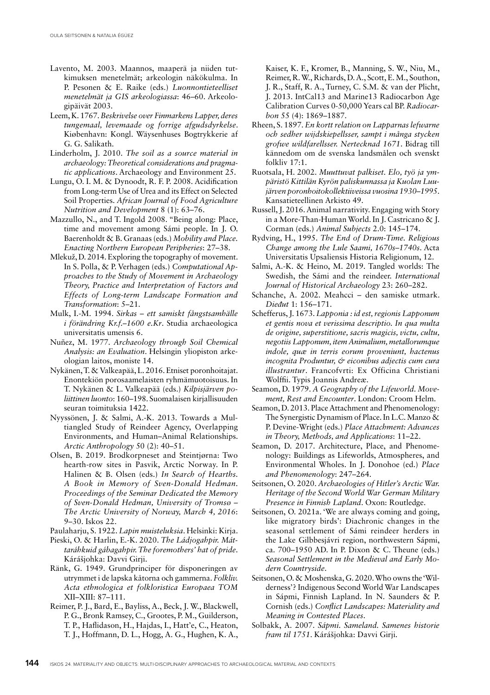- Lavento, M. 2003. Maannos, maaperä ja niiden tutkimuksen menetelmät; arkeologin näkökulma. In P. Pesonen & E. Raike (eds.) *Luonnontieteelliset menetelmät ja GIS arkeologiassa*: 46–60. Arkeologipäivät 2003.
- Leem, K. 1767. *Beskrivelse over Finmarkens Lapper, deres tungemaal, levemaade og forrige afgudsdyrkelse*. Kiøbenhavn: Kongl. Wäysenhuses Bogtrykkerie af G. G. Salikath.
- Linderholm, J. 2010. *The soil as a source material in archaeology: Theoretical considerations and pragmatic applications*. Archaeology and Environment 25.
- Lungu, O. I. M. & Dynoodt, R. F. P. 2008. Acidification from Long-term Use of Urea and its Effect on Selected Soil Properties. *African Journal of Food Agriculture Nutrition and Development* 8 (1): 63–76.
- Mazzullo, N., and T. Ingold 2008. "Being along: Place, time and movement among Sámi people. In J. O. Baerenholdt & B. Granaas (eds.) *Mobility and Place. Enacting Northern European Peripheries*: 27–38.
- Mlekuž, D. 2014. Exploring the topography of movement. In S. Polla, & P. Verhagen (eds.) *Computational Approaches to the Study of Movement in Archaeology Theory, Practice and Interpretation of Factors and Effects of Long-term Landscape Formation and Transformation*: 5–21.
- Mulk, I.-M. 1994. *Sirkas ett samiskt fångstsamhälle i förändring Kr.f.–1600 e.Kr*. Studia archaeologica universitatis umensis 6.
- Nuñez, M. 1977. *Archaeology through Soil Chemical Analysis: an Evaluation*. Helsingin yliopiston arkeologian laitos, moniste 14.
- Nykänen, T. & Valkeapää, L. 2016. Etniset poronhoitajat. Enontekiön porosaamelaisten ryhmämuotoisuus. In T. Nykänen & L. Valkeapää (eds.) *Kilpisjärven poliittinen luonto*: 160–198. Suomalaisen kirjallisuuden seuran toimituksia 1422.
- Nyyssönen, J. & Salmi, A.-K. 2013. Towards a Multiangled Study of Reindeer Agency, Overlapping Environments, and Human–Animal Relationships. *Arctic Anthropology* 50 (2): 40–51.
- Olsen, B. 2019. Brodkorpneset and Steintjørna: Two hearth-row sites in Pasvik, Arctic Norway. In P. Halinen & B. Olsen (eds.) *In Search of Hearths. A Book in Memory of Sven-Donald Hedman. Proceedings of the Seminar Dedicated the Memory of Sven-Donald Hedman, University of Tromsø – The Arctic University of Norway, March 4, 2016*: 9–30. Iskos 22.
- Paulaharju, S. 1922. *Lapin muisteluksia*. Helsinki: Kirja.
- Pieski, O. & Harlin, E.-K. 2020. *The Ládjogahpir. Máttaráhkuid gábagahpir. The foremothers' hat of pride*. Kárášjohka: Davvi Girji.
- Ränk, G. 1949. Grundprinciper för disponeringen av utrymmet i de lapska kåtorna och gammerna. *Folkliv. Acta ethnologica et folkloristica Europaea TOM* XII–XIII: 87–111.
- Reimer, P. J., Bard, E., Bayliss, A., Beck, J. W., Blackwell, P. G., Bronk Ramsey, C., Grootes, P. M., Guilderson, T. P., Haflidason, H., Hajdas, I., Hatt'e, C., Heaton, T. J., Hoffmann, D. L., Hogg, A. G., Hughen, K. A.,

Kaiser, K. F., Kromer, B., Manning, S. W., Niu, M., Reimer, R. W., Richards, D. A., Scott, E. M., Southon, J. R., Staff, R. A., Turney, C. S.M. & van der Plicht, J. 2013. IntCal13 and Marine13 Radiocarbon Age Calibration Curves 0-50,000 Years cal BP. *Radiocarbon* 55 (4): 1869–1887.

- Rheen, S. 1897. *En kortt relation on Lapparnas lefwarne och sedher wijdskiepellsser, sampt i många stycken grofwe wildfarellsser. Nertecknad 1671*. Bidrag till kännedom om de svenska landsmålen och svenskt folkliv 17:1.
- Ruotsala, H. 2002. *Muuttuvat palkiset. Elo, työ ja ympäristö Kittilän Kyrön paliskunnassa ja Kuolan Luujärven poronhoitokollektiiveissa vuosina 1930–1995*. Kansatieteellinen Arkisto 49.
- Russell, J. 2016. Animal narrativity. Engaging with Story in a More-Than-Human World. In J. Castricano & J. Corman (eds.) *Animal Subjects* 2.0: 145–174.
- Rydving, H., 1995. *The End of Drum-Time. Religious Change among the Lule Saami, 1670s–1740s*. Acta Universitatis Upsaliensis Historia Religionum, 12.
- Salmi, A.-K. & Heino, M. 2019. Tangled worlds: The Swedish, the Sámi and the reindeer. *International Journal of Historical Archaeology* 23: 260–282.
- Schanche, A. 2002. Meahcci den samiske utmark. *Dieđut* 1: 156–171.
- Schefferus, J. 1673. *Lapponia : id est, regionis Lapponum et gentis nova et verissima descriptio. In qua multa de origine, superstitione, sacris magicis, victu, cultu, negotiis Lapponum, item Animalium, metallorumque indole, quæ in terris eorum proveniunt, hactenus incognita Produntur, & eiconibus adjectis cum cura illustrantur*. Francofvrti: Ex Officina Christiani Wolffii. Typis Joannis Andreæ.
- Seamon, D. 1979. *A Geography of the Lifeworld. Movement, Rest and Encounter*. London: Croom Helm.
- Seamon, D. 2013. Place Attachment and Phenomenology: The Synergistic Dynamism of Place. In L.C. Manzo & P. Devine-Wright (eds.) *Place Attachment: Advances in Theory, Methods, and Applications*: 11–22.
- Seamon, D. 2017. Architecture, Place, and Phenomenology: Buildings as Lifeworlds, Atmospheres, and Environmental Wholes. In J. Donohoe (ed.) *Place and Phenomenology*: 247–264.
- Seitsonen, O. 2020. *Archaeologies of Hitler's Arctic War. Heritage of the Second World War German Military Presence in Finnish Lapland*. Oxon: Routledge.
- Seitsonen, O. 2021a. 'We are always coming and going, like migratory birds': Diachronic changes in the seasonal settlement of Sámi reindeer herders in the Lake Gilbbesjávri region, northwestern Sápmi, ca. 700–1950 AD. In P. Dixon & C. Theune (eds.) *Seasonal Settlement in the Medieval and Early Modern Countryside*.
- Seitsonen, O. & Moshenska, G. 2020. Who owns the 'Wilderness'? Indigenous Second World War Landscapes in Sápmi, Finnish Lapland. In N. Saunders & P. Cornish (eds.) *Conflict Landscapes: Materiality and Meaning in Contested Places*.
- Solbakk, A. 2007. *Sápmi. Sameland. Samenes historie fram til 1751*. Kárášjohka: Davvi Girji.